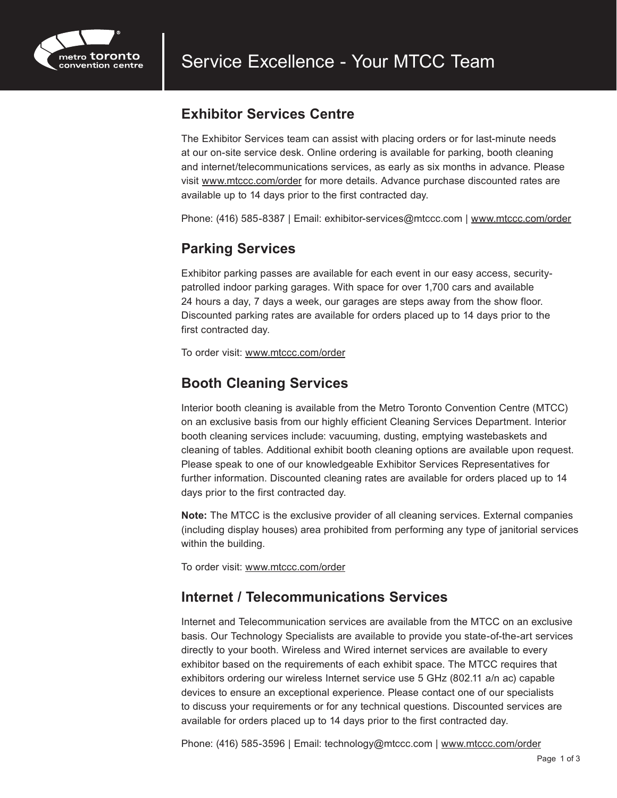

#### **Exhibitor Services Centre**

The Exhibitor Services team can assist with placing orders or for last-minute needs at our on-site service desk. Online ordering is available for parking, booth cleaning and internet/telecommunications services, as early as six months in advance. Please visit [www.mtccc.com/order](http://www.mtccc.com/order) for more details. Advance purchase discounted rates are available up to 14 days prior to the first contracted day.

Phone: (416) 585-8387 | Email: exhibitor-services@mtccc.com | [www.mtccc.com/order](http://www.mtccc.com/order)

#### **Parking Services**

Exhibitor parking passes are available for each event in our easy access, securitypatrolled indoor parking garages. With space for over 1,700 cars and available 24 hours a day, 7 days a week, our garages are steps away from the show floor. Discounted parking rates are available for orders placed up to 14 days prior to the first contracted day.

To order visit: [www.mtccc.com/order](http://www.mtccc.com/order)

#### **Booth Cleaning Services**

Interior booth cleaning is available from the Metro Toronto Convention Centre (MTCC) on an exclusive basis from our highly efficient Cleaning Services Department. Interior booth cleaning services include: vacuuming, dusting, emptying wastebaskets and cleaning of tables. Additional exhibit booth cleaning options are available upon request. Please speak to one of our knowledgeable Exhibitor Services Representatives for further information. Discounted cleaning rates are available for orders placed up to 14 days prior to the first contracted day.

**Note:** The MTCC is the exclusive provider of all cleaning services. External companies (including display houses) area prohibited from performing any type of janitorial services within the building.

To order visit: [www.mtccc.com/order](http://www.mtccc.com/order)

#### **Internet / Telecommunications Services**

Internet and Telecommunication services are available from the MTCC on an exclusive basis. Our Technology Specialists are available to provide you state-of-the-art services directly to your booth. Wireless and Wired internet services are available to every exhibitor based on the requirements of each exhibit space. The MTCC requires that exhibitors ordering our wireless Internet service use 5 GHz (802.11 a/n ac) capable devices to ensure an exceptional experience. Please contact one of our specialists to discuss your requirements or for any technical questions. Discounted services are available for orders placed up to 14 days prior to the first contracted day.

Phone: (416) 585-3596 | Email: technology@mtccc.com | [www.mtccc.com/order](http://www.mtccc.com/order)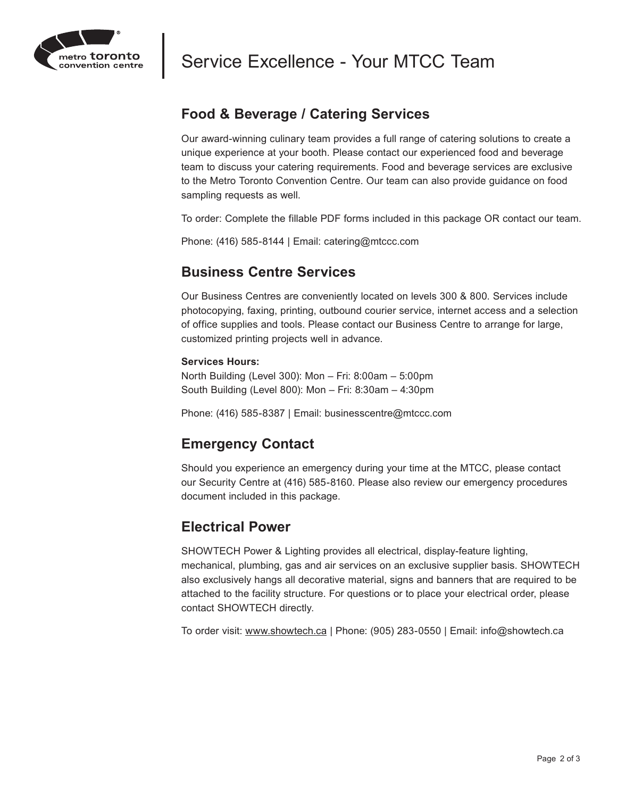

# Service Excellence - Your MTCC Team

#### **Food & Beverage / Catering Services**

Our award-winning culinary team provides a full range of catering solutions to create a unique experience at your booth. Please contact our experienced food and beverage team to discuss your catering requirements. Food and beverage services are exclusive to the Metro Toronto Convention Centre. Our team can also provide guidance on food sampling requests as well.

To order: Complete the fillable PDF forms included in this package OR contact our team.

Phone: (416) 585-8144 | Email: catering@mtccc.com

#### **Business Centre Services**

Our Business Centres are conveniently located on levels 300 & 800. Services include photocopying, faxing, printing, outbound courier service, internet access and a selection of office supplies and tools. Please contact our Business Centre to arrange for large, customized printing projects well in advance.

#### **Services Hours:**

North Building (Level 300): Mon – Fri: 8:00am – 5:00pm South Building (Level 800): Mon – Fri: 8:30am – 4:30pm

Phone: (416) 585-8387 | Email: businesscentre@mtccc.com

#### **Emergency Contact**

Should you experience an emergency during your time at the MTCC, please contact our Security Centre at (416) 585-8160. Please also review our emergency procedures document included in this package.

#### **Electrical Power**

SHOWTECH Power & Lighting provides all electrical, display-feature lighting, mechanical, plumbing, gas and air services on an exclusive supplier basis. SHOWTECH also exclusively hangs all decorative material, signs and banners that are required to be attached to the facility structure. For questions or to place your electrical order, please contact SHOWTECH directly.

To order visit: [www.](http://www.showtech.ca)showtech.ca | Phone: (905) 283-0550 | Email: info@showtech.ca